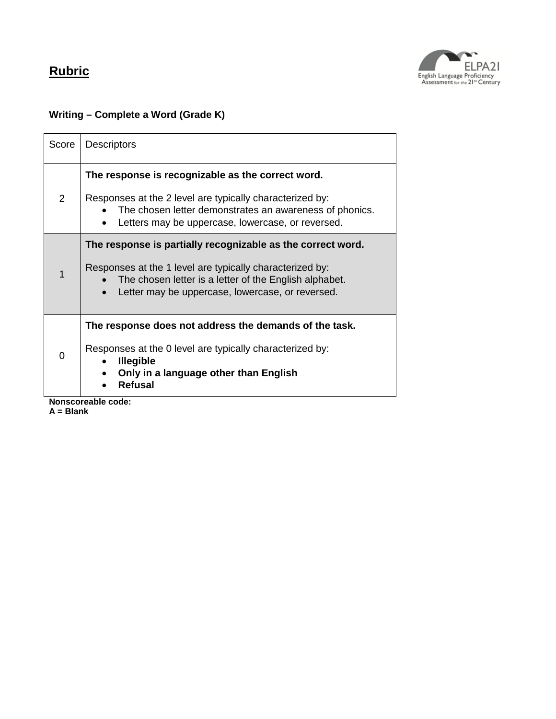

## **Writing – Complete a Word (Grade K)**

| Score                             | <b>Descriptors</b>                                                                                                                                                                                                                    |  |
|-----------------------------------|---------------------------------------------------------------------------------------------------------------------------------------------------------------------------------------------------------------------------------------|--|
| $\overline{2}$                    | The response is recognizable as the correct word.<br>Responses at the 2 level are typically characterized by:<br>The chosen letter demonstrates an awareness of phonics.<br>Letters may be uppercase, lowercase, or reversed.         |  |
| 1                                 | The response is partially recognizable as the correct word.<br>Responses at the 1 level are typically characterized by:<br>The chosen letter is a letter of the English alphabet.<br>Letter may be uppercase, lowercase, or reversed. |  |
| 0                                 | The response does not address the demands of the task.<br>Responses at the 0 level are typically characterized by:<br><b>Illegible</b><br>Only in a language other than English<br><b>Refusal</b>                                     |  |
| Nonscoreable code:<br>$A = Blank$ |                                                                                                                                                                                                                                       |  |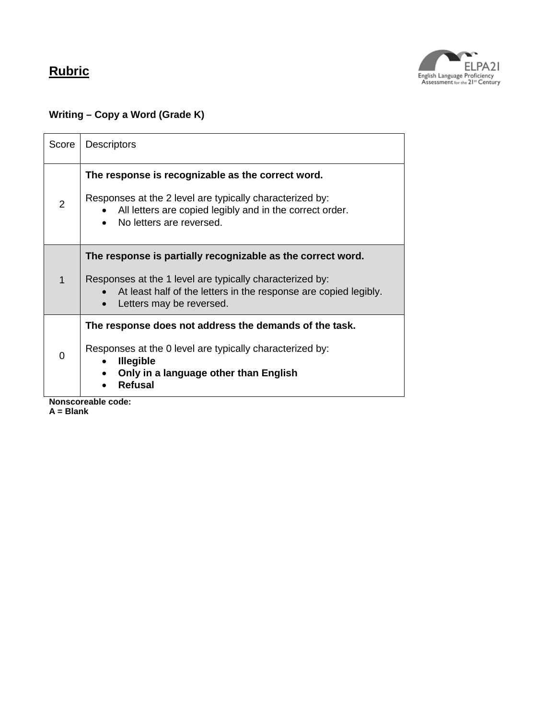

## **Writing – Copy a Word (Grade K)**

| Score                             | <b>Descriptors</b>                                                                                                                                                                                                      |
|-----------------------------------|-------------------------------------------------------------------------------------------------------------------------------------------------------------------------------------------------------------------------|
| $\overline{2}$                    | The response is recognizable as the correct word.<br>Responses at the 2 level are typically characterized by:<br>All letters are copied legibly and in the correct order.<br>No letters are reversed.                   |
| 1                                 | The response is partially recognizable as the correct word.<br>Responses at the 1 level are typically characterized by:<br>At least half of the letters in the response are copied legibly.<br>Letters may be reversed. |
| 0                                 | The response does not address the demands of the task.<br>Responses at the 0 level are typically characterized by:<br><b>Illegible</b><br>Only in a language other than English<br><b>Refusal</b>                       |
| Nonscoreable code:<br>$A = Blank$ |                                                                                                                                                                                                                         |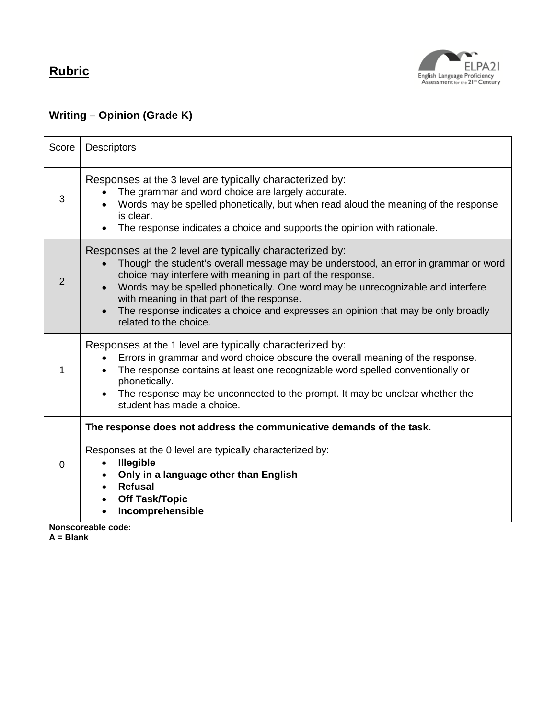

## **Writing – Opinion (Grade K)**

| Score | <b>Descriptors</b>                                                                                                                                                                                                                                                                                                                                                                                                                                            |
|-------|---------------------------------------------------------------------------------------------------------------------------------------------------------------------------------------------------------------------------------------------------------------------------------------------------------------------------------------------------------------------------------------------------------------------------------------------------------------|
| 3     | Responses at the 3 level are typically characterized by:<br>The grammar and word choice are largely accurate.<br>Words may be spelled phonetically, but when read aloud the meaning of the response<br>is clear.<br>The response indicates a choice and supports the opinion with rationale.                                                                                                                                                                  |
| 2     | Responses at the 2 level are typically characterized by:<br>Though the student's overall message may be understood, an error in grammar or word<br>choice may interfere with meaning in part of the response.<br>Words may be spelled phonetically. One word may be unrecognizable and interfere<br>with meaning in that part of the response.<br>The response indicates a choice and expresses an opinion that may be only broadly<br>related to the choice. |
|       | Responses at the 1 level are typically characterized by:<br>Errors in grammar and word choice obscure the overall meaning of the response.<br>The response contains at least one recognizable word spelled conventionally or<br>phonetically.<br>The response may be unconnected to the prompt. It may be unclear whether the<br>student has made a choice.                                                                                                   |
| 0     | The response does not address the communicative demands of the task.<br>Responses at the 0 level are typically characterized by:<br><b>Illegible</b><br>Only in a language other than English<br><b>Refusal</b><br>$\bullet$<br><b>Off Task/Topic</b><br>Incomprehensible<br>Nonscoreable code:                                                                                                                                                               |

**A = Blank**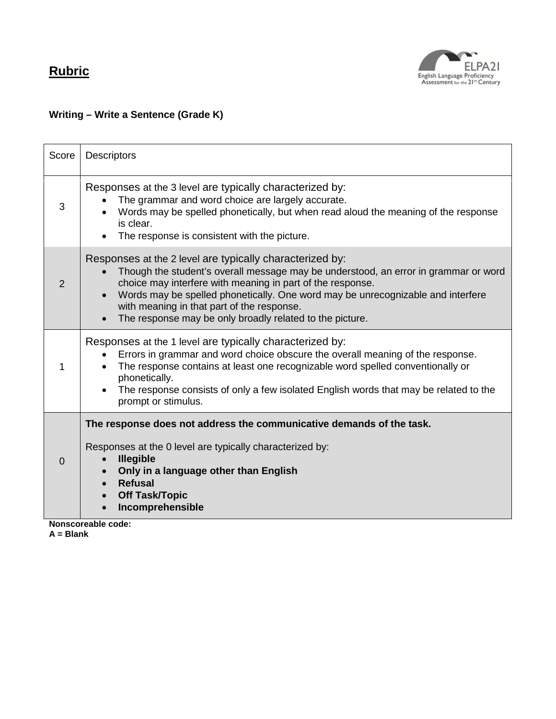

## **Writing – Write a Sentence (Grade K)**

| Score    | <b>Descriptors</b>                                                                                                                                                                                                                                                                                                                                                                                         |
|----------|------------------------------------------------------------------------------------------------------------------------------------------------------------------------------------------------------------------------------------------------------------------------------------------------------------------------------------------------------------------------------------------------------------|
| 3        | Responses at the 3 level are typically characterized by:<br>The grammar and word choice are largely accurate.<br>Words may be spelled phonetically, but when read aloud the meaning of the response<br>is clear.<br>The response is consistent with the picture.                                                                                                                                           |
| 2        | Responses at the 2 level are typically characterized by:<br>Though the student's overall message may be understood, an error in grammar or word<br>choice may interfere with meaning in part of the response.<br>Words may be spelled phonetically. One word may be unrecognizable and interfere<br>with meaning in that part of the response.<br>The response may be only broadly related to the picture. |
| 1        | Responses at the 1 level are typically characterized by:<br>Errors in grammar and word choice obscure the overall meaning of the response.<br>The response contains at least one recognizable word spelled conventionally or<br>phonetically.<br>The response consists of only a few isolated English words that may be related to the<br>prompt or stimulus.                                              |
| $\Omega$ | The response does not address the communicative demands of the task.<br>Responses at the 0 level are typically characterized by:<br><b>Illegible</b><br>Only in a language other than English<br><b>Refusal</b><br><b>Off Task/Topic</b><br>Incomprehensible<br>Nonecoroablo codo:                                                                                                                         |

**Nonscoreable code: A = Blank**